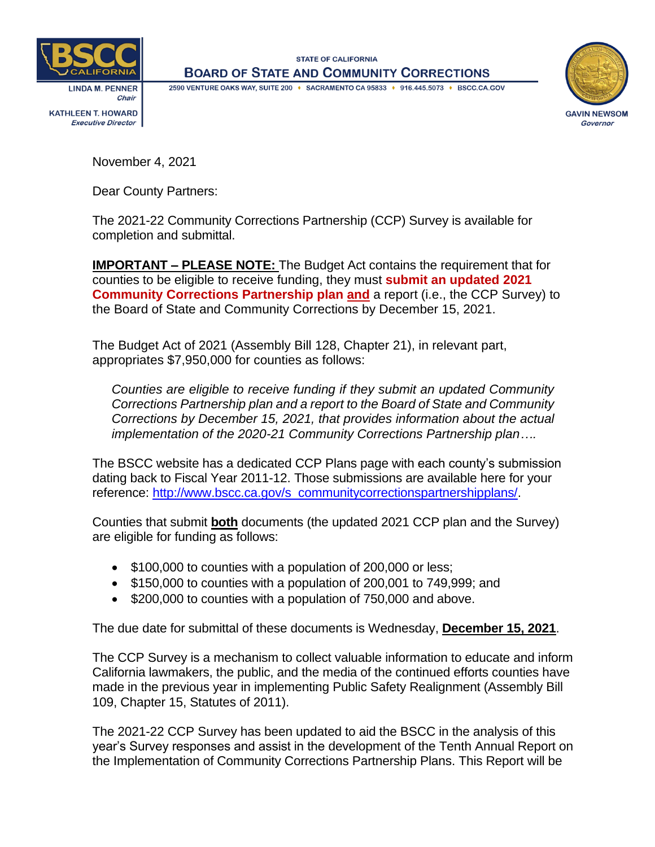

**I INDA M. PENNER** Chair **KATHLEEN T. HOWARD Executive Director** 

**STATE OF CALIFORNIA BOARD OF STATE AND COMMUNITY CORRECTIONS** 

2590 VENTURE OAKS WAY, SUITE 200 + SACRAMENTO CA 95833 + 916.445.5073 + BSCC.CA.GOV



November 4, 2021

Dear County Partners:

The 2021-22 Community Corrections Partnership (CCP) Survey is available for completion and submittal.

**IMPORTANT – PLEASE NOTE:** The Budget Act contains the requirement that for counties to be eligible to receive funding, they must **submit an updated 2021 Community Corrections Partnership plan and** a report (i.e., the CCP Survey) to the Board of State and Community Corrections by December 15, 2021.

The Budget Act of 2021 (Assembly Bill 128, Chapter 21), in relevant part, appropriates \$7,950,000 for counties as follows:

*Counties are eligible to receive funding if they submit an updated Community Corrections Partnership plan and a report to the Board of State and Community Corrections by December 15, 2021, that provides information about the actual implementation of the 2020-21 Community Corrections Partnership plan….*

The BSCC website has a dedicated CCP Plans page with each county's submission dating back to Fiscal Year 2011-12. Those submissions are available here for your reference: [http://www.bscc.ca.gov/s\\_communitycorrectionspartnershipplans/.](http://www.bscc.ca.gov/s_communitycorrectionspartnershipplans/)

Counties that submit **both** documents (the updated 2021 CCP plan and the Survey) are eligible for funding as follows:

- \$100,000 to counties with a population of 200,000 or less;
- \$150,000 to counties with a population of 200,001 to 749,999; and
- \$200,000 to counties with a population of 750,000 and above.

The due date for submittal of these documents is Wednesday, **December 15, 2021**.

The CCP Survey is a mechanism to collect valuable information to educate and inform California lawmakers, the public, and the media of the continued efforts counties have made in the previous year in implementing Public Safety Realignment (Assembly Bill 109, Chapter 15, Statutes of 2011).

The 2021-22 CCP Survey has been updated to aid the BSCC in the analysis of this year's Survey responses and assist in the development of the Tenth Annual Report on the Implementation of Community Corrections Partnership Plans. This Report will be